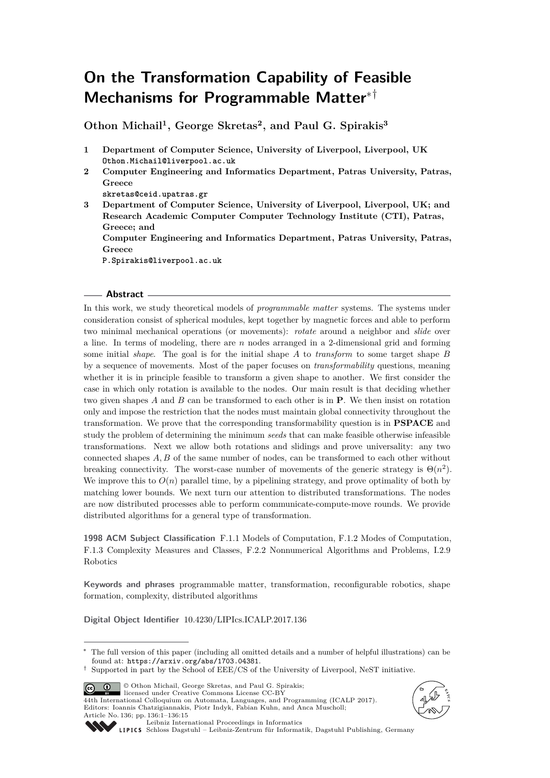# **On the Transformation Capability of Feasible Mechanisms for Programmable Matter**∗†

**Othon Michail<sup>1</sup> , George Skretas<sup>2</sup> , and Paul G. Spirakis<sup>3</sup>**

- **1 Department of Computer Science, University of Liverpool, Liverpool, UK Othon.Michail@liverpool.ac.uk**
- **2 Computer Engineering and Informatics Department, Patras University, Patras, Greece**
	- **skretas@ceid.upatras.gr**
- **3 Department of Computer Science, University of Liverpool, Liverpool, UK; and Research Academic Computer Computer Technology Institute (CTI), Patras, Greece; and**

**Computer Engineering and Informatics Department, Patras University, Patras, Greece**

**P.Spirakis@liverpool.ac.uk**

## **Abstract**

In this work, we study theoretical models of *programmable matter* systems. The systems under consideration consist of spherical modules, kept together by magnetic forces and able to perform two minimal mechanical operations (or movements): *rotate* around a neighbor and *slide* over a line. In terms of modeling, there are *n* nodes arranged in a 2-dimensional grid and forming some initial *shape*. The goal is for the initial shape *A* to *transform* to some target shape *B* by a sequence of movements. Most of the paper focuses on *transformability* questions, meaning whether it is in principle feasible to transform a given shape to another. We first consider the case in which only rotation is available to the nodes. Our main result is that deciding whether two given shapes *A* and *B* can be transformed to each other is in **P**. We then insist on rotation only and impose the restriction that the nodes must maintain global connectivity throughout the transformation. We prove that the corresponding transformability question is in **PSPACE** and study the problem of determining the minimum *seeds* that can make feasible otherwise infeasible transformations. Next we allow both rotations and slidings and prove universality: any two connected shapes *A, B* of the same number of nodes, can be transformed to each other without breaking connectivity. The worst-case number of movements of the generic strategy is  $\Theta(n^2)$ . We improve this to  $O(n)$  parallel time, by a pipelining strategy, and prove optimality of both by matching lower bounds. We next turn our attention to distributed transformations. The nodes are now distributed processes able to perform communicate-compute-move rounds. We provide distributed algorithms for a general type of transformation.

**1998 ACM Subject Classification** F.1.1 Models of Computation, F.1.2 Modes of Computation, F.1.3 Complexity Measures and Classes, F.2.2 Nonnumerical Algorithms and Problems, I.2.9 Robotics

**Keywords and phrases** programmable matter, transformation, reconfigurable robotics, shape formation, complexity, distributed algorithms

**Digital Object Identifier** [10.4230/LIPIcs.ICALP.2017.136](http://dx.doi.org/10.4230/LIPIcs.ICALP.2017.136)

© Othon Michail, George Skretas, and Paul G. Spirakis;  $\boxed{6}$   $\boxed{0}$ 

licensed under Creative Commons License CC-BY 44th International Colloquium on Automata, Languages, and Programming (ICALP 2017). Editors: Ioannis Chatzigiannakis, Piotr Indyk, Fabian Kuhn, and Anca Muscholl; Article No. 136; pp. 136:1–136[:15](#page-14-0)





[Leibniz International Proceedings in Informatics](http://www.dagstuhl.de/lipics/)

[Schloss Dagstuhl – Leibniz-Zentrum für Informatik, Dagstuhl Publishing, Germany](http://www.dagstuhl.de)

The full version of this paper (including all omitted details and a number of helpful illustrations) can be found at: <https://arxiv.org/abs/1703.04381>.

<sup>†</sup> Supported in part by the School of EEE/CS of the University of Liverpool, NeST initiative.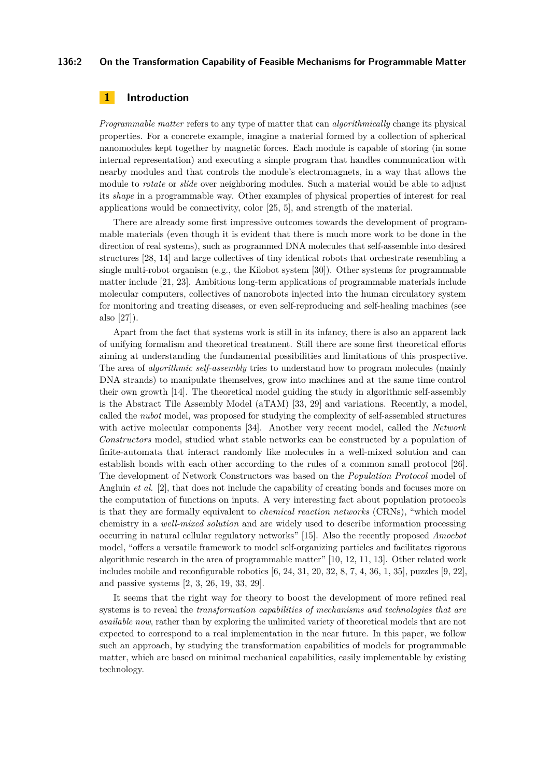## **136:2 On the Transformation Capability of Feasible Mechanisms for Programmable Matter**

# **1 Introduction**

*Programmable matter* refers to any type of matter that can *algorithmically* change its physical properties. For a concrete example, imagine a material formed by a collection of spherical nanomodules kept together by magnetic forces. Each module is capable of storing (in some internal representation) and executing a simple program that handles communication with nearby modules and that controls the module's electromagnets, in a way that allows the module to *rotate* or *slide* over neighboring modules. Such a material would be able to adjust its *shape* in a programmable way. Other examples of physical properties of interest for real applications would be connectivity, color [\[25,](#page-13-0) [5\]](#page-12-0), and strength of the material.

There are already some first impressive outcomes towards the development of programmable materials (even though it is evident that there is much more work to be done in the direction of real systems), such as programmed DNA molecules that self-assemble into desired structures [\[28,](#page-13-1) [14\]](#page-12-1) and large collectives of tiny identical robots that orchestrate resembling a single multi-robot organism (e.g., the Kilobot system [\[30\]](#page-13-2)). Other systems for programmable matter include [\[21,](#page-13-3) [23\]](#page-13-4). Ambitious long-term applications of programmable materials include molecular computers, collectives of nanorobots injected into the human circulatory system for monitoring and treating diseases, or even self-reproducing and self-healing machines (see also [\[27\]](#page-13-5)).

Apart from the fact that systems work is still in its infancy, there is also an apparent lack of unifying formalism and theoretical treatment. Still there are some first theoretical efforts aiming at understanding the fundamental possibilities and limitations of this prospective. The area of *algorithmic self-assembly* tries to understand how to program molecules (mainly DNA strands) to manipulate themselves, grow into machines and at the same time control their own growth [\[14\]](#page-12-1). The theoretical model guiding the study in algorithmic self-assembly is the Abstract Tile Assembly Model (aTAM) [\[33,](#page-13-6) [29\]](#page-13-7) and variations. Recently, a model, called the *nubot* model, was proposed for studying the complexity of self-assembled structures with active molecular components [\[34\]](#page-13-8). Another very recent model, called the *Network Constructors* model, studied what stable networks can be constructed by a population of finite-automata that interact randomly like molecules in a well-mixed solution and can establish bonds with each other according to the rules of a common small protocol [\[26\]](#page-13-9). The development of Network Constructors was based on the *Population Protocol* model of Angluin *et al.* [\[2\]](#page-12-2), that does not include the capability of creating bonds and focuses more on the computation of functions on inputs. A very interesting fact about population protocols is that they are formally equivalent to *chemical reaction networks* (CRNs), "which model chemistry in a *well-mixed solution* and are widely used to describe information processing occurring in natural cellular regulatory networks" [\[15\]](#page-12-3). Also the recently proposed *Amoebot* model, "offers a versatile framework to model self-organizing particles and facilitates rigorous algorithmic research in the area of programmable matter" [\[10,](#page-12-4) [12,](#page-12-5) [11,](#page-12-6) [13\]](#page-12-7). Other related work includes mobile and reconfigurable robotics [\[6,](#page-12-8) [24,](#page-13-10) [31,](#page-13-11) [20,](#page-13-12) [32,](#page-13-13) [8,](#page-12-9) [7,](#page-12-10) [4,](#page-12-11) [36,](#page-14-1) [1,](#page-12-12) [35\]](#page-14-2), puzzles [\[9,](#page-12-13) [22\]](#page-13-14), and passive systems [\[2,](#page-12-2) [3,](#page-12-14) [26,](#page-13-9) [19,](#page-13-15) [33,](#page-13-6) [29\]](#page-13-7).

It seems that the right way for theory to boost the development of more refined real systems is to reveal the *transformation capabilities of mechanisms and technologies that are available now*, rather than by exploring the unlimited variety of theoretical models that are not expected to correspond to a real implementation in the near future. In this paper, we follow such an approach, by studying the transformation capabilities of models for programmable matter, which are based on minimal mechanical capabilities, easily implementable by existing technology.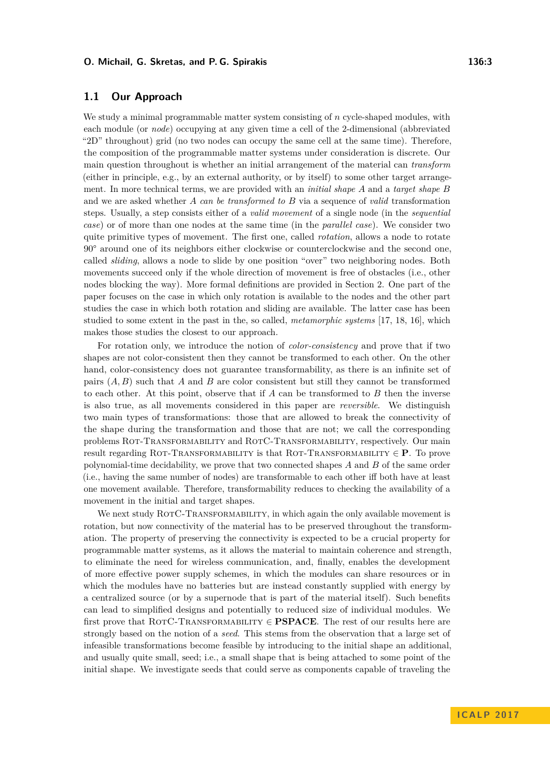We study a minimal programmable matter system consisting of *n* cycle-shaped modules, with each module (or *node*) occupying at any given time a cell of the 2-dimensional (abbreviated "2D" throughout) grid (no two nodes can occupy the same cell at the same time). Therefore, the composition of the programmable matter systems under consideration is discrete. Our main question throughout is whether an initial arrangement of the material can *transform* (either in principle, e.g., by an external authority, or by itself) to some other target arrangement. In more technical terms, we are provided with an *initial shape A* and a *target shape B* and we are asked whether *A can be transformed to B* via a sequence of *valid* transformation steps. Usually, a step consists either of a *valid movement* of a single node (in the *sequential case*) or of more than one nodes at the same time (in the *parallel case*). We consider two quite primitive types of movement. The first one, called *rotation*, allows a node to rotate 90° around one of its neighbors either clockwise or counterclockwise and the second one, called *sliding*, allows a node to slide by one position "over" two neighboring nodes. Both movements succeed only if the whole direction of movement is free of obstacles (i.e., other nodes blocking the way). More formal definitions are provided in Section [2.](#page-3-0) One part of the paper focuses on the case in which only rotation is available to the nodes and the other part studies the case in which both rotation and sliding are available. The latter case has been studied to some extent in the past in the, so called, *metamorphic systems* [\[17,](#page-13-16) [18,](#page-13-17) [16\]](#page-12-15), which makes those studies the closest to our approach.

For rotation only, we introduce the notion of *color-consistency* and prove that if two shapes are not color-consistent then they cannot be transformed to each other. On the other hand, color-consistency does not guarantee transformability, as there is an infinite set of pairs (*A, B*) such that *A* and *B* are color consistent but still they cannot be transformed to each other. At this point, observe that if *A* can be transformed to *B* then the inverse is also true, as all movements considered in this paper are *reversible*. We distinguish two main types of transformations: those that are allowed to break the connectivity of the shape during the transformation and those that are not; we call the corresponding problems Rot-Transformability and RotC-Transformability, respectively. Our main result regarding Rot-Transformability is that Rot-Transformability ∈ **P**. To prove polynomial-time decidability, we prove that two connected shapes *A* and *B* of the same order (i.e., having the same number of nodes) are transformable to each other iff both have at least one movement available. Therefore, transformability reduces to checking the availability of a movement in the initial and target shapes.

We next study ROTC-TRANSFORMABILITY, in which again the only available movement is rotation, but now connectivity of the material has to be preserved throughout the transformation. The property of preserving the connectivity is expected to be a crucial property for programmable matter systems, as it allows the material to maintain coherence and strength, to eliminate the need for wireless communication, and, finally, enables the development of more effective power supply schemes, in which the modules can share resources or in which the modules have no batteries but are instead constantly supplied with energy by a centralized source (or by a supernode that is part of the material itself). Such benefits can lead to simplified designs and potentially to reduced size of individual modules. We first prove that RotC-Transformability ∈ **PSPACE**. The rest of our results here are strongly based on the notion of a *seed*. This stems from the observation that a large set of infeasible transformations become feasible by introducing to the initial shape an additional, and usually quite small, seed; i.e., a small shape that is being attached to some point of the initial shape. We investigate seeds that could serve as components capable of traveling the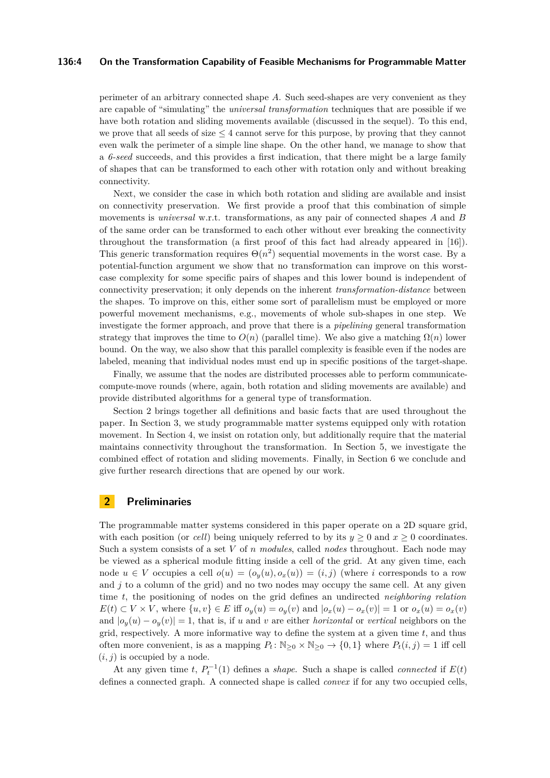## **136:4 On the Transformation Capability of Feasible Mechanisms for Programmable Matter**

perimeter of an arbitrary connected shape *A*. Such seed-shapes are very convenient as they are capable of "simulating" the *universal transformation* techniques that are possible if we have both rotation and sliding movements available (discussed in the sequel). To this end, we prove that all seeds of size  $\leq 4$  cannot serve for this purpose, by proving that they cannot even walk the perimeter of a simple line shape. On the other hand, we manage to show that a *6-seed* succeeds, and this provides a first indication, that there might be a large family of shapes that can be transformed to each other with rotation only and without breaking connectivity.

Next, we consider the case in which both rotation and sliding are available and insist on connectivity preservation. We first provide a proof that this combination of simple movements is *universal* w.r.t. transformations, as any pair of connected shapes *A* and *B* of the same order can be transformed to each other without ever breaking the connectivity throughout the transformation (a first proof of this fact had already appeared in [\[16\]](#page-12-15)). This generic transformation requires  $\Theta(n^2)$  sequential movements in the worst case. By a potential-function argument we show that no transformation can improve on this worstcase complexity for some specific pairs of shapes and this lower bound is independent of connectivity preservation; it only depends on the inherent *transformation-distance* between the shapes. To improve on this, either some sort of parallelism must be employed or more powerful movement mechanisms, e.g., movements of whole sub-shapes in one step. We investigate the former approach, and prove that there is a *pipelining* general transformation strategy that improves the time to  $O(n)$  (parallel time). We also give a matching  $\Omega(n)$  lower bound. On the way, we also show that this parallel complexity is feasible even if the nodes are labeled, meaning that individual nodes must end up in specific positions of the target-shape.

Finally, we assume that the nodes are distributed processes able to perform communicatecompute-move rounds (where, again, both rotation and sliding movements are available) and provide distributed algorithms for a general type of transformation.

Section [2](#page-3-0) brings together all definitions and basic facts that are used throughout the paper. In Section [3,](#page-5-0) we study programmable matter systems equipped only with rotation movement. In Section [4,](#page-7-0) we insist on rotation only, but additionally require that the material maintains connectivity throughout the transformation. In Section [5,](#page-8-0) we investigate the combined effect of rotation and sliding movements. Finally, in Section [6](#page-11-0) we conclude and give further research directions that are opened by our work.

## <span id="page-3-0"></span>**2 Preliminaries**

The programmable matter systems considered in this paper operate on a 2D square grid, with each position (or *cell*) being uniquely referred to by its  $y \ge 0$  and  $x \ge 0$  coordinates. Such a system consists of a set *V* of *n modules*, called *nodes* throughout. Each node may be viewed as a spherical module fitting inside a cell of the grid. At any given time, each node  $u \in V$  occupies a cell  $o(u) = (o_u(u), o_x(u)) = (i, j)$  (where *i* corresponds to a row and  $j$  to a column of the grid) and no two nodes may occupy the same cell. At any given time *t*, the positioning of nodes on the grid defines an undirected *neighboring relation*  $E(t) \subset V \times V$ , where  $\{u, v\} \in E$  iff  $o_y(u) = o_y(v)$  and  $|o_x(u) - o_x(v)| = 1$  or  $o_x(u) = o_x(v)$ and  $|o_y(u) - o_y(v)| = 1$ , that is, if *u* and *v* are either *horizontal* or *vertical* neighbors on the grid, respectively. A more informative way to define the system at a given time *t*, and thus often more convenient, is as a mapping  $P_t: \mathbb{N}_{\geq 0} \times \mathbb{N}_{\geq 0} \to \{0,1\}$  where  $P_t(i,j) = 1$  iff cell  $(i, j)$  is occupied by a node.

At any given time *t*,  $P_t^{-1}(1)$  defines a *shape*. Such a shape is called *connected* if  $E(t)$ defines a connected graph. A connected shape is called *convex* if for any two occupied cells,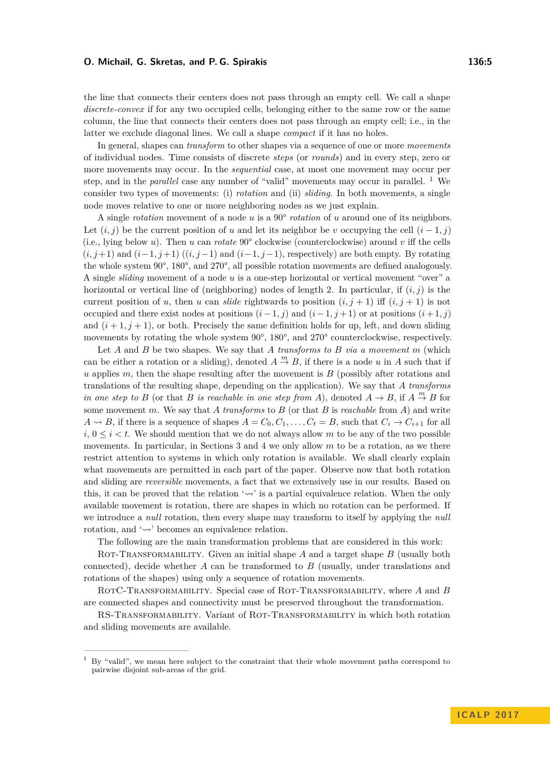the line that connects their centers does not pass through an empty cell. We call a shape *discrete-convex* if for any two occupied cells, belonging either to the same row or the same column, the line that connects their centers does not pass through an empty cell; i.e., in the latter we exclude diagonal lines. We call a shape *compact* if it has no holes.

In general, shapes can *transform* to other shapes via a sequence of one or more *movements* of individual nodes. Time consists of discrete *steps* (or *rounds*) and in every step, zero or more movements may occur. In the *sequential* case, at most one movement may occur per step, and in the *parallel* case any number of "valid" movements may occur in parallel. <sup>[1](#page-4-0)</sup> We consider two types of movements: (i) *rotation* and (ii) *sliding*. In both movements, a single node moves relative to one or more neighboring nodes as we just explain.

A single *rotation* movement of a node *u* is a 90° *rotation* of *u* around one of its neighbors. Let  $(i, j)$  be the current position of *u* and let its neighbor be *v* occupying the cell  $(i - 1, j)$ (i.e., lying below *u*). Then *u* can *rotate* 90° clockwise (counterclockwise) around *v* iff the cells  $(i, j+1)$  and  $(i-1, j+1)$   $((i, j-1)$  and  $(i-1, j-1)$ , respectively) are both empty. By rotating the whole system 90°, 180°, and 270°, all possible rotation movements are defined analogously. A single *sliding* movement of a node *u* is a one-step horizontal or vertical movement "over" a horizontal or vertical line of (neighboring) nodes of length 2. In particular, if (*i, j*) is the current position of *u*, then *u* can *slide* rightwards to position  $(i, j + 1)$  iff  $(i, j + 1)$  is not occupied and there exist nodes at positions  $(i-1, j)$  and  $(i-1, j+1)$  or at positions  $(i+1, j)$ and  $(i+1, j+1)$ , or both. Precisely the same definition holds for up, left, and down sliding movements by rotating the whole system 90°, 180°, and 270° counterclockwise, respectively.

Let *A* and *B* be two shapes. We say that *A transforms to B via a movement m* (which can be either a rotation or a sliding), denoted  $A \stackrel{m}{\rightarrow} B$ , if there is a node *u* in *A* such that if *u* applies *m*, then the shape resulting after the movement is *B* (possibly after rotations and translations of the resulting shape, depending on the application). We say that *A transforms in one step to B* (or that *B is reachable in one step from A*), denoted  $A \rightarrow B$ , if  $A \stackrel{m}{\rightarrow} B$  for some movement *m*. We say that *A transforms* to *B* (or that *B* is *reachable* from *A*) and write  $A \rightsquigarrow B$ , if there is a sequence of shapes  $A = C_0, C_1, \ldots, C_t = B$ , such that  $C_i \rightarrow C_{i+1}$  for all  $i, 0 \leq i \leq t$ . We should mention that we do not always allow m to be any of the two possible movements. In particular, in Sections [3](#page-5-0) and [4](#page-7-0) we only allow m to be a rotation, as we there restrict attention to systems in which only rotation is available. We shall clearly explain what movements are permitted in each part of the paper. Observe now that both rotation and sliding are *reversible* movements, a fact that we extensively use in our results. Based on this, it can be proved that the relation ' $\sim$ ' is a partial equivalence relation. When the only available movement is rotation, there are shapes in which no rotation can be performed. If we introduce a *null* rotation, then every shape may transform to itself by applying the *null* rotation, and ' $\leadsto$  ' becomes an equivalence relation.

The following are the main transformation problems that are considered in this work:

ROT-TRANSFORMABILITY. Given an initial shape A and a target shape B (usually both connected), decide whether *A* can be transformed to *B* (usually, under translations and rotations of the shapes) using only a sequence of rotation movements.

RotC-Transformability. Special case of Rot-Transformability, where *A* and *B* are connected shapes and connectivity must be preserved throughout the transformation.

RS-Transformability. Variant of Rot-Transformability in which both rotation and sliding movements are available.

<span id="page-4-0"></span> $1\,$  By "valid", we mean here subject to the constraint that their whole movement paths correspond to pairwise disjoint sub-areas of the grid.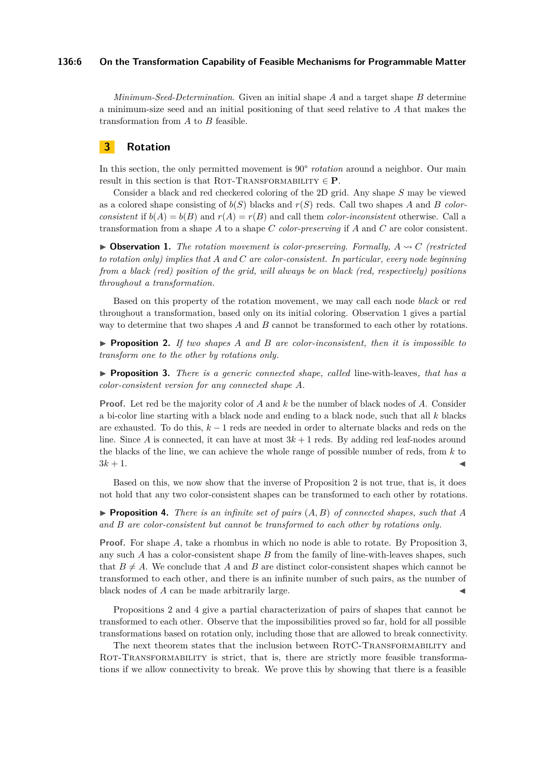## **136:6 On the Transformation Capability of Feasible Mechanisms for Programmable Matter**

*Minimum-Seed-Determination*. Given an initial shape *A* and a target shape *B* determine a minimum-size seed and an initial positioning of that seed relative to *A* that makes the transformation from *A* to *B* feasible.

## <span id="page-5-0"></span>**3 Rotation**

In this section, the only permitted movement is 90° *rotation* around a neighbor. Our main result in this section is that ROT-TRANSFORMABILITY  $\in$  **P**.

Consider a black and red checkered coloring of the 2D grid. Any shape *S* may be viewed as a colored shape consisting of  $b(S)$  blacks and  $r(S)$  reds. Call two shapes *A* and *B colorconsistent* if  $b(A) = b(B)$  and  $r(A) = r(B)$  and call them *color-inconsistent* otherwise. Call a transformation from a shape *A* to a shape *C color-preserving* if *A* and *C* are color consistent.

<span id="page-5-1"></span> $\triangleright$  **Observation 1.** *The rotation movement is color-preserving. Formally, A* $\rightsquigarrow$ *C* (restricted *to rotation only) implies that A and C are color-consistent. In particular, every node beginning from a black (red) position of the grid, will always be on black (red, respectively) positions throughout a transformation.*

Based on this property of the rotation movement, we may call each node *black* or *red* throughout a transformation, based only on its initial coloring. Observation [1](#page-5-1) gives a partial way to determine that two shapes *A* and *B* cannot be transformed to each other by rotations.

<span id="page-5-2"></span>I **Proposition 2.** *If two shapes A and B are color-inconsistent, then it is impossible to transform one to the other by rotations only.*

<span id="page-5-3"></span>I **Proposition 3.** *There is a generic connected shape, called* line-with-leaves*, that has a color-consistent version for any connected shape A.*

**Proof.** Let red be the majority color of *A* and *k* be the number of black nodes of *A*. Consider a bi-color line starting with a black node and ending to a black node, such that all *k* blacks are exhausted. To do this, *k* − 1 reds are needed in order to alternate blacks and reds on the line. Since *A* is connected, it can have at most  $3k + 1$  reds. By adding red leaf-nodes around the blacks of the line, we can achieve the whole range of possible number of reds, from *k* to  $3k + 1$ .

Based on this, we now show that the inverse of Proposition [2](#page-5-2) is not true, that is, it does not hold that any two color-consistent shapes can be transformed to each other by rotations.

<span id="page-5-4"></span>**Proposition 4.** *There is an infinite set of pairs*  $(A, B)$  *of connected shapes, such that*  $A$ *and B are color-consistent but cannot be transformed to each other by rotations only.*

**Proof.** For shape *A*, take a rhombus in which no node is able to rotate. By Proposition [3,](#page-5-3) any such *A* has a color-consistent shape *B* from the family of line-with-leaves shapes, such that  $B \neq A$ . We conclude that *A* and *B* are distinct color-consistent shapes which cannot be transformed to each other, and there is an infinite number of such pairs, as the number of black nodes of *A* can be made arbitrarily large.

Propositions [2](#page-5-2) and [4](#page-5-4) give a partial characterization of pairs of shapes that cannot be transformed to each other. Observe that the impossibilities proved so far, hold for all possible transformations based on rotation only, including those that are allowed to break connectivity.

The next theorem states that the inclusion between ROTC-TRANSFORMABILITY and ROT-TRANSFORMABILITY is strict, that is, there are strictly more feasible transformations if we allow connectivity to break. We prove this by showing that there is a feasible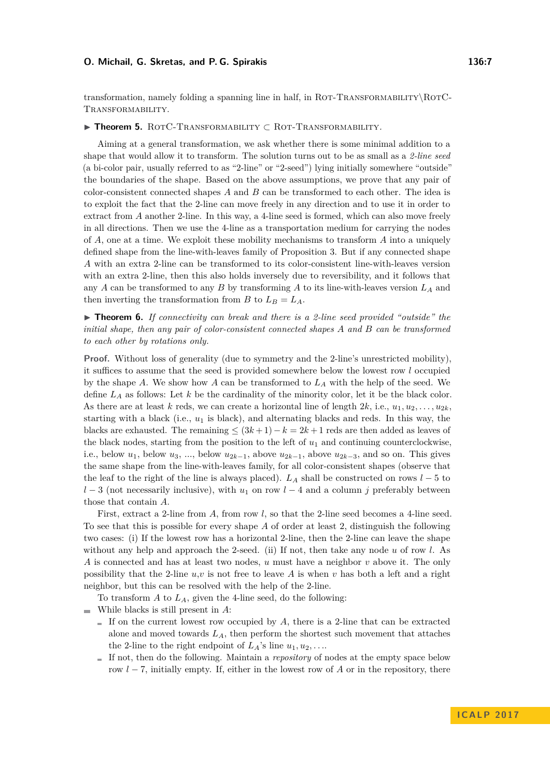transformation, namely folding a spanning line in half, in ROT-TRANSFORMABILITY\ROTC-Transformability.

## <span id="page-6-1"></span>I **Theorem 5.** RotC-Transformability ⊂ Rot-Transformability*.*

Aiming at a general transformation, we ask whether there is some minimal addition to a shape that would allow it to transform. The solution turns out to be as small as a *2-line seed* (a bi-color pair, usually referred to as "2-line" or "2-seed") lying initially somewhere "outside" the boundaries of the shape. Based on the above assumptions, we prove that any pair of color-consistent connected shapes *A* and *B* can be transformed to each other. The idea is to exploit the fact that the 2-line can move freely in any direction and to use it in order to extract from *A* another 2-line. In this way, a 4-line seed is formed, which can also move freely in all directions. Then we use the 4-line as a transportation medium for carrying the nodes of *A*, one at a time. We exploit these mobility mechanisms to transform *A* into a uniquely defined shape from the line-with-leaves family of Proposition [3.](#page-5-3) But if any connected shape *A* with an extra 2-line can be transformed to its color-consistent line-with-leaves version with an extra 2-line, then this also holds inversely due to reversibility, and it follows that any *A* can be transformed to any *B* by transforming *A* to its line-with-leaves version *L<sup>A</sup>* and then inverting the transformation from *B* to  $L_B = L_A$ .

<span id="page-6-0"></span>► **Theorem 6.** *If connectivity can break and there is a 2-line seed provided "outside" the initial shape, then any pair of color-consistent connected shapes A and B can be transformed to each other by rotations only.*

**Proof.** Without loss of generality (due to symmetry and the 2-line's unrestricted mobility), it suffices to assume that the seed is provided somewhere below the lowest row *l* occupied by the shape *A*. We show how *A* can be transformed to  $L_A$  with the help of the seed. We define *L<sup>A</sup>* as follows: Let *k* be the cardinality of the minority color, let it be the black color. As there are at least *k* reds, we can create a horizontal line of length  $2k$ , i.e.,  $u_1, u_2, \ldots, u_{2k}$ starting with a black (i.e., *u*<sup>1</sup> is black), and alternating blacks and reds. In this way, the blacks are exhausted. The remaining  $\leq (3k+1) - k = 2k+1$  reds are then added as leaves of the black nodes, starting from the position to the left of  $u_1$  and continuing counterclockwise, i.e., below  $u_1$ , below  $u_3$ , ..., below  $u_{2k-1}$ , above  $u_{2k-1}$ , above  $u_{2k-3}$ , and so on. This gives the same shape from the line-with-leaves family, for all color-consistent shapes (observe that the leaf to the right of the line is always placed).  $L_A$  shall be constructed on rows  $l-5$  to  $l-3$  (not necessarily inclusive), with  $u_1$  on row  $l-4$  and a column *j* preferably between those that contain *A*.

First, extract a 2-line from A, from row *l*, so that the 2-line seed becomes a 4-line seed. To see that this is possible for every shape *A* of order at least 2, distinguish the following two cases: (i) If the lowest row has a horizontal 2-line, then the 2-line can leave the shape without any help and approach the 2-seed. (ii) If not, then take any node *u* of row *l*. As *A* is connected and has at least two nodes, *u* must have a neighbor *v* above it. The only possibility that the 2-line  $u, v$  is not free to leave A is when  $v$  has both a left and a right neighbor, but this can be resolved with the help of the 2-line.

To transform *A* to *LA*, given the 4-line seed, do the following:

- While blacks is still present in *A*:
	- If on the current lowest row occupied by  $A$ , there is a 2-line that can be extracted alone and moved towards *LA*, then perform the shortest such movement that attaches the 2-line to the right endpoint of  $L_A$ 's line  $u_1, u_2, \ldots$
	- If not, then do the following. Maintain a *repository* of nodes at the empty space below  $\overline{\phantom{a}}$ row *l* − 7, initially empty. If, either in the lowest row of *A* or in the repository, there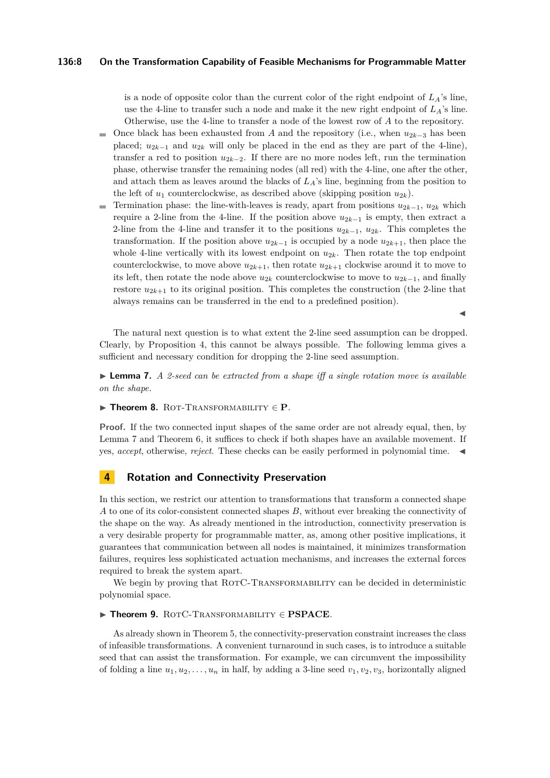## **136:8 On the Transformation Capability of Feasible Mechanisms for Programmable Matter**

is a node of opposite color than the current color of the right endpoint of  $L_A$ 's line, use the 4-line to transfer such a node and make it the new right endpoint of  $L_A$ 's line. Otherwise, use the 4-line to transfer a node of the lowest row of *A* to the repository.

- Once black has been exhausted from *A* and the repository (i.e., when  $u_{2k-3}$  has been placed;  $u_{2k-1}$  and  $u_{2k}$  will only be placed in the end as they are part of the 4-line), transfer a red to position  $u_{2k-2}$ . If there are no more nodes left, run the termination phase, otherwise transfer the remaining nodes (all red) with the 4-line, one after the other, and attach them as leaves around the blacks of  $L_A$ 's line, beginning from the position to the left of  $u_1$  counterclockwise, as described above (skipping position  $u_{2k}$ ).
- Termination phase: the line-with-leaves is ready, apart from positions  $u_{2k-1}$ ,  $u_{2k}$  which  $\equiv$ require a 2-line from the 4-line. If the position above  $u_{2k-1}$  is empty, then extract a 2-line from the 4-line and transfer it to the positions  $u_{2k-1}$ ,  $u_{2k}$ . This completes the transformation. If the position above  $u_{2k-1}$  is occupied by a node  $u_{2k+1}$ , then place the whole 4-line vertically with its lowest endpoint on  $u_{2k}$ . Then rotate the top endpoint counterclockwise, to move above  $u_{2k+1}$ , then rotate  $u_{2k+1}$  clockwise around it to move to its left, then rotate the node above  $u_{2k}$  counterclockwise to move to  $u_{2k-1}$ , and finally restore  $u_{2k+1}$  to its original position. This completes the construction (the 2-line that always remains can be transferred in the end to a predefined position).

The natural next question is to what extent the 2-line seed assumption can be dropped. Clearly, by Proposition [4,](#page-5-4) this cannot be always possible. The following lemma gives a sufficient and necessary condition for dropping the 2-line seed assumption.

<span id="page-7-1"></span>► **Lemma 7.** *A 2-seed can be extracted from a shape iff a single rotation move is available on the shape.*

#### I **Theorem 8.** Rot-Transformability ∈ **P***.*

**Proof.** If the two connected input shapes of the same order are not already equal, then, by Lemma [7](#page-7-1) and Theorem [6,](#page-6-0) it suffices to check if both shapes have an available movement. If yes, *accept*, otherwise, *reject*. These checks can be easily performed in polynomial time. J

## <span id="page-7-0"></span>**4 Rotation and Connectivity Preservation**

In this section, we restrict our attention to transformations that transform a connected shape *A* to one of its color-consistent connected shapes *B*, without ever breaking the connectivity of the shape on the way. As already mentioned in the introduction, connectivity preservation is a very desirable property for programmable matter, as, among other positive implications, it guarantees that communication between all nodes is maintained, it minimizes transformation failures, requires less sophisticated actuation mechanisms, and increases the external forces required to break the system apart.

We begin by proving that ROTC-TRANSFORMABILITY can be decided in deterministic polynomial space.

## I **Theorem 9.** RotC-Transformability ∈ **PSPACE***.*

As already shown in Theorem [5,](#page-6-1) the connectivity-preservation constraint increases the class of infeasible transformations. A convenient turnaround in such cases, is to introduce a suitable seed that can assist the transformation. For example, we can circumvent the impossibility of folding a line  $u_1, u_2, \ldots, u_n$  in half, by adding a 3-line seed  $v_1, v_2, v_3$ , horizontally aligned

 $\blacktriangleleft$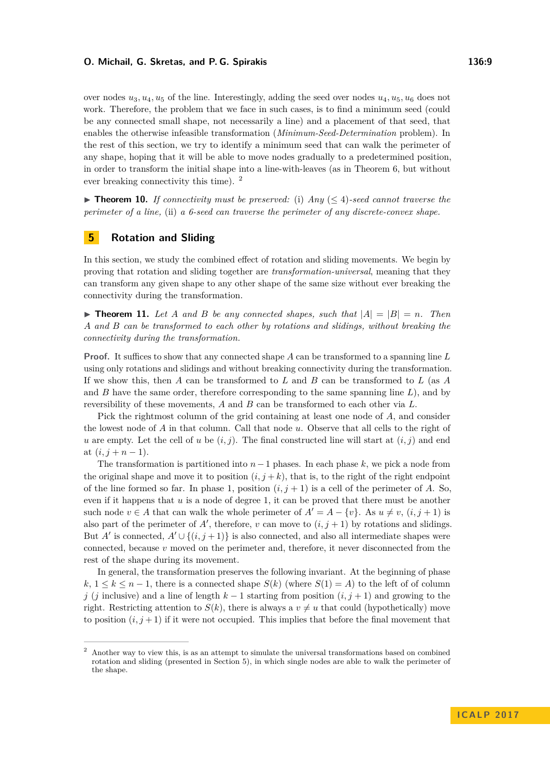over nodes  $u_3, u_4, u_5$  of the line. Interestingly, adding the seed over nodes  $u_4, u_5, u_6$  does not work. Therefore, the problem that we face in such cases, is to find a minimum seed (could be any connected small shape, not necessarily a line) and a placement of that seed, that enables the otherwise infeasible transformation (*Minimum-Seed-Determination* problem). In the rest of this section, we try to identify a minimum seed that can walk the perimeter of any shape, hoping that it will be able to move nodes gradually to a predetermined position, in order to transform the initial shape into a line-with-leaves (as in Theorem [6,](#page-6-0) but without ever breaking connectivity this time). [2](#page-8-1)

**► Theorem 10.** If connectivity must be preserved: (i) Any  $(≤ 4)$ -seed cannot traverse the *perimeter of a line,* (ii) *a 6-seed can traverse the perimeter of any discrete-convex shape.*

## <span id="page-8-0"></span>**5 Rotation and Sliding**

In this section, we study the combined effect of rotation and sliding movements. We begin by proving that rotation and sliding together are *transformation-universal*, meaning that they can transform any given shape to any other shape of the same size without ever breaking the connectivity during the transformation.

<span id="page-8-2"></span> $\triangleright$  **Theorem 11.** Let A and B be any connected shapes, such that  $|A| = |B| = n$ . Then *A and B can be transformed to each other by rotations and slidings, without breaking the connectivity during the transformation.*

**Proof.** It suffices to show that any connected shape *A* can be transformed to a spanning line *L* using only rotations and slidings and without breaking connectivity during the transformation. If we show this, then *A* can be transformed to *L* and *B* can be transformed to *L* (as *A* and *B* have the same order, therefore corresponding to the same spanning line *L*), and by reversibility of these movements, *A* and *B* can be transformed to each other via *L*.

Pick the rightmost column of the grid containing at least one node of *A*, and consider the lowest node of *A* in that column. Call that node *u*. Observe that all cells to the right of *u* are empty. Let the cell of *u* be  $(i, j)$ . The final constructed line will start at  $(i, j)$  and end at  $(i, j + n - 1)$ .

The transformation is partitioned into *n*−1 phases. In each phase *k*, we pick a node from the original shape and move it to position  $(i, j + k)$ , that is, to the right of the right endpoint of the line formed so far. In phase 1, position  $(i, j + 1)$  is a cell of the perimeter of *A*. So, even if it happens that *u* is a node of degree 1, it can be proved that there must be another such node  $v \in A$  that can walk the whole perimeter of  $A' = A - \{v\}$ . As  $u \neq v$ ,  $(i, j + 1)$  is also part of the perimeter of  $A'$ , therefore, *v* can move to  $(i, j + 1)$  by rotations and slidings. But *A'* is connected,  $A' \cup \{(i, j + 1)\}$  is also connected, and also all intermediate shapes were connected, because *v* moved on the perimeter and, therefore, it never disconnected from the rest of the shape during its movement.

In general, the transformation preserves the following invariant. At the beginning of phase  $k, 1 \leq k \leq n-1$ , there is a connected shape  $S(k)$  (where  $S(1) = A$ ) to the left of of column *j* (*j* inclusive) and a line of length *k* − 1 starting from position  $(i, j + 1)$  and growing to the right. Restricting attention to  $S(k)$ , there is always a  $v \neq u$  that could (hypothetically) move to position  $(i, j + 1)$  if it were not occupied. This implies that before the final movement that

<span id="page-8-1"></span><sup>2</sup> Another way to view this, is as an attempt to simulate the universal transformations based on combined rotation and sliding (presented in Section [5\)](#page-8-0), in which single nodes are able to walk the perimeter of the shape.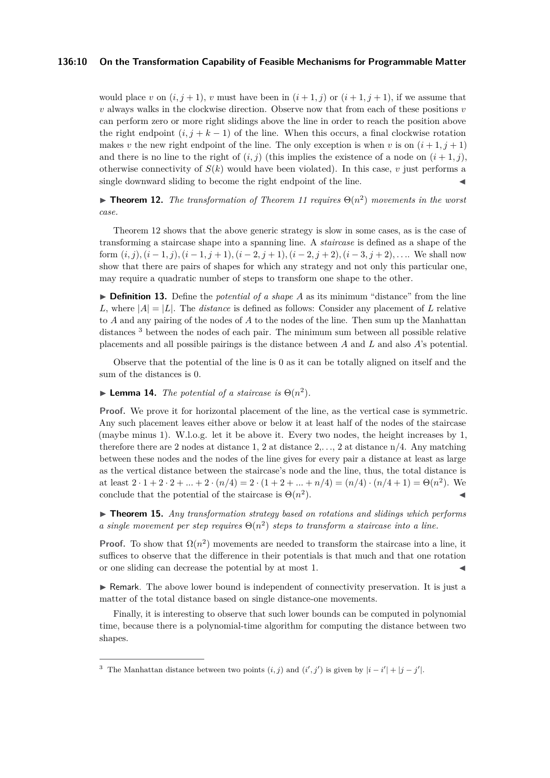## **136:10 On the Transformation Capability of Feasible Mechanisms for Programmable Matter**

would place *v* on  $(i, j + 1)$ , *v* must have been in  $(i + 1, j)$  or  $(i + 1, j + 1)$ , if we assume that *v* always walks in the clockwise direction. Observe now that from each of these positions *v* can perform zero or more right slidings above the line in order to reach the position above the right endpoint  $(i, j + k - 1)$  of the line. When this occurs, a final clockwise rotation makes *v* the new right endpoint of the line. The only exception is when *v* is on  $(i+1, j+1)$ and there is no line to the right of  $(i, j)$  (this implies the existence of a node on  $(i + 1, j)$ , otherwise connectivity of  $S(k)$  would have been violated). In this case,  $v$  just performs a single downward sliding to become the right endpoint of the line.

<span id="page-9-0"></span>**Theorem 12.** *The transformation of Theorem [11](#page-8-2) requires*  $\Theta(n^2)$  *movements in the worst case.*

Theorem [12](#page-9-0) shows that the above generic strategy is slow in some cases, as is the case of transforming a staircase shape into a spanning line. A *staircase* is defined as a shape of the form  $(i, j)$ ,  $(i - 1, j)$ ,  $(i - 1, j + 1)$ ,  $(i - 2, j + 1)$ ,  $(i - 2, j + 2)$ ,  $(i - 3, j + 2)$ , ... We shall now show that there are pairs of shapes for which any strategy and not only this particular one, may require a quadratic number of steps to transform one shape to the other.

<span id="page-9-2"></span> $\triangleright$  **Definition 13.** Define the *potential of a shape A* as its minimum "distance" from the line *L*, where  $|A| = |L|$ . The *distance* is defined as follows: Consider any placement of *L* relative to *A* and any pairing of the nodes of *A* to the nodes of the line. Then sum up the Manhattan distances [3](#page-9-1) between the nodes of each pair. The minimum sum between all possible relative placements and all possible pairings is the distance between *A* and *L* and also *A*'s potential.

Observe that the potential of the line is 0 as it can be totally aligned on itself and the sum of the distances is 0.

**Lemma 14.** *The potential of a staircase is*  $\Theta(n^2)$ *.* 

**Proof.** We prove it for horizontal placement of the line, as the vertical case is symmetric. Any such placement leaves either above or below it at least half of the nodes of the staircase (maybe minus 1). W.l.o.g. let it be above it. Every two nodes, the height increases by 1, therefore there are 2 nodes at distance 1, 2 at distance 2,*. . .*, 2 at distance n/4. Any matching between these nodes and the nodes of the line gives for every pair a distance at least as large as the vertical distance between the staircase's node and the line, thus, the total distance is at least  $2 \cdot 1 + 2 \cdot 2 + ... + 2 \cdot (n/4) = 2 \cdot (1 + 2 + ... + n/4) = (n/4) \cdot (n/4 + 1) = \Theta(n^2)$ . We conclude that the potential of the staircase is  $\Theta(n^2)$  $\blacksquare$ ).

▶ **Theorem 15.** *Any transformation strategy based on rotations and slidings which performs a* single movement per step requires  $\Theta(n^2)$  steps to transform a staircase into a line.

**Proof.** To show that  $\Omega(n^2)$  movements are needed to transform the staircase into a line, it suffices to observe that the difference in their potentials is that much and that one rotation or one sliding can decrease the potential by at most 1.

 $\triangleright$  Remark. The above lower bound is independent of connectivity preservation. It is just a matter of the total distance based on single distance-one movements.

Finally, it is interesting to observe that such lower bounds can be computed in polynomial time, because there is a polynomial-time algorithm for computing the distance between two shapes.

<span id="page-9-1"></span><sup>&</sup>lt;sup>3</sup> The Manhattan distance between two points  $(i, j)$  and  $(i', j')$  is given by  $|i - i'| + |j - j'|$ .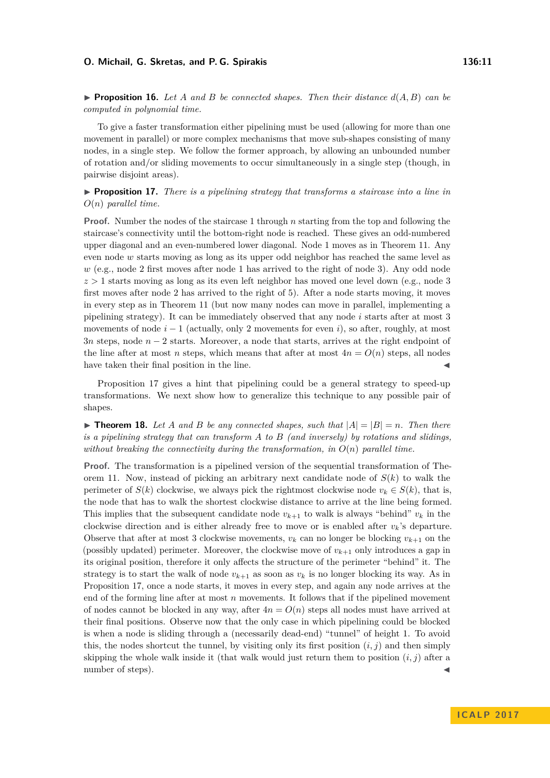**Proposition 16.** Let A and B be connected shapes. Then their distance  $d(A, B)$  can be *computed in polynomial time.*

To give a faster transformation either pipelining must be used (allowing for more than one movement in parallel) or more complex mechanisms that move sub-shapes consisting of many nodes, in a single step. We follow the former approach, by allowing an unbounded number of rotation and/or sliding movements to occur simultaneously in a single step (though, in pairwise disjoint areas).

<span id="page-10-0"></span> $\triangleright$  **Proposition 17.** *There is a pipelining strategy that transforms a staircase into a line in O*(*n*) *parallel time.*

**Proof.** Number the nodes of the staircase 1 through *n* starting from the top and following the staircase's connectivity until the bottom-right node is reached. These gives an odd-numbered upper diagonal and an even-numbered lower diagonal. Node 1 moves as in Theorem [11.](#page-8-2) Any even node *w* starts moving as long as its upper odd neighbor has reached the same level as *w* (e.g., node 2 first moves after node 1 has arrived to the right of node 3). Any odd node  $z > 1$  starts moving as long as its even left neighbor has moved one level down (e.g., node 3) first moves after node 2 has arrived to the right of 5). After a node starts moving, it moves in every step as in Theorem [11](#page-8-2) (but now many nodes can move in parallel, implementing a pipelining strategy). It can be immediately observed that any node *i* starts after at most 3 movements of node  $i - 1$  (actually, only 2 movements for even *i*), so after, roughly, at most 3*n* steps, node *n* − 2 starts. Moreover, a node that starts, arrives at the right endpoint of the line after at most *n* steps, which means that after at most  $4n = O(n)$  steps, all nodes have taken their final position in the line.

Proposition [17](#page-10-0) gives a hint that pipelining could be a general strategy to speed-up transformations. We next show how to generalize this technique to any possible pair of shapes.

<span id="page-10-1"></span> $\triangleright$  **Theorem 18.** Let *A* and *B* be any connected shapes, such that  $|A| = |B| = n$ . Then there *is a pipelining strategy that can transform A to B (and inversely) by rotations and slidings, without breaking the connectivity during the transformation, in*  $O(n)$  *parallel time.* 

**Proof.** The transformation is a pipelined version of the sequential transformation of Theorem [11.](#page-8-2) Now, instead of picking an arbitrary next candidate node of *S*(*k*) to walk the perimeter of  $S(k)$  clockwise, we always pick the rightmost clockwise node  $v_k \in S(k)$ , that is, the node that has to walk the shortest clockwise distance to arrive at the line being formed. This implies that the subsequent candidate node  $v_{k+1}$  to walk is always "behind"  $v_k$  in the clockwise direction and is either already free to move or is enabled after *vk*'s departure. Observe that after at most 3 clockwise movements,  $v_k$  can no longer be blocking  $v_{k+1}$  on the (possibly updated) perimeter. Moreover, the clockwise move of  $v_{k+1}$  only introduces a gap in its original position, therefore it only affects the structure of the perimeter "behind" it. The strategy is to start the walk of node  $v_{k+1}$  as soon as  $v_k$  is no longer blocking its way. As in Proposition [17,](#page-10-0) once a node starts, it moves in every step, and again any node arrives at the end of the forming line after at most *n* movements. It follows that if the pipelined movement of nodes cannot be blocked in any way, after  $4n = O(n)$  steps all nodes must have arrived at their final positions. Observe now that the only case in which pipelining could be blocked is when a node is sliding through a (necessarily dead-end) "tunnel" of height 1. To avoid this, the nodes shortcut the tunnel, by visiting only its first position  $(i, j)$  and then simply skipping the whole walk inside it (that walk would just return them to position  $(i, j)$  after a number of steps).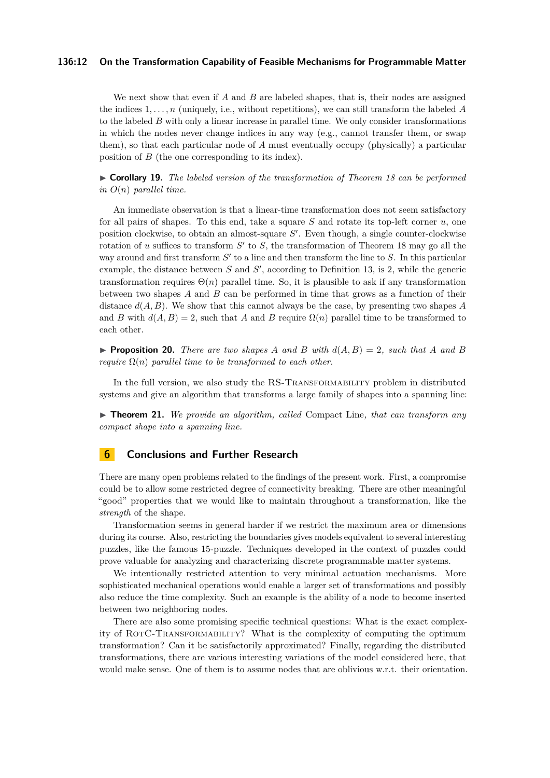## **136:12 On the Transformation Capability of Feasible Mechanisms for Programmable Matter**

We next show that even if *A* and *B* are labeled shapes, that is, their nodes are assigned the indices 1*, . . . , n* (uniquely, i.e., without repetitions), we can still transform the labeled *A* to the labeled *B* with only a linear increase in parallel time. We only consider transformations in which the nodes never change indices in any way (e.g., cannot transfer them, or swap them), so that each particular node of *A* must eventually occupy (physically) a particular position of *B* (the one corresponding to its index).

I **Corollary 19.** *The labeled version of the transformation of Theorem [18](#page-10-1) can be performed in O*(*n*) *parallel time.*

An immediate observation is that a linear-time transformation does not seem satisfactory for all pairs of shapes. To this end, take a square *S* and rotate its top-left corner *u*, one position clockwise, to obtain an almost-square  $S'$ . Even though, a single counter-clockwise rotation of  $u$  suffices to transform  $S'$  to  $S$ , the transformation of Theorem [18](#page-10-1) may go all the way around and first transform  $S'$  to a line and then transform the line to  $S$ . In this particular example, the distance between  $S$  and  $S'$ , according to Definition [13,](#page-9-2) is 2, while the generic transformation requires  $\Theta(n)$  parallel time. So, it is plausible to ask if any transformation between two shapes *A* and *B* can be performed in time that grows as a function of their distance *d*(*A, B*). We show that this cannot always be the case, by presenting two shapes *A* and *B* with  $d(A, B) = 2$ , such that *A* and *B* require  $\Omega(n)$  parallel time to be transformed to each other.

**• Proposition 20.** There are two shapes A and B with  $d(A, B) = 2$ , such that A and B *require*  $\Omega(n)$  *parallel time to be transformed to each other.* 

In the full version, we also study the RS-TRANSFORMABILITY problem in distributed systems and give an algorithm that transforms a large family of shapes into a spanning line:

▶ **Theorem 21.** *We provide an algorithm, called* Compact Line, that can transform any *compact shape into a spanning line.*

## <span id="page-11-0"></span>**6 Conclusions and Further Research**

There are many open problems related to the findings of the present work. First, a compromise could be to allow some restricted degree of connectivity breaking. There are other meaningful "good" properties that we would like to maintain throughout a transformation, like the *strength* of the shape.

Transformation seems in general harder if we restrict the maximum area or dimensions during its course. Also, restricting the boundaries gives models equivalent to several interesting puzzles, like the famous 15-puzzle. Techniques developed in the context of puzzles could prove valuable for analyzing and characterizing discrete programmable matter systems.

We intentionally restricted attention to very minimal actuation mechanisms. More sophisticated mechanical operations would enable a larger set of transformations and possibly also reduce the time complexity. Such an example is the ability of a node to become inserted between two neighboring nodes.

There are also some promising specific technical questions: What is the exact complexity of RotC-Transformability? What is the complexity of computing the optimum transformation? Can it be satisfactorily approximated? Finally, regarding the distributed transformations, there are various interesting variations of the model considered here, that would make sense. One of them is to assume nodes that are oblivious w.r.t. their orientation.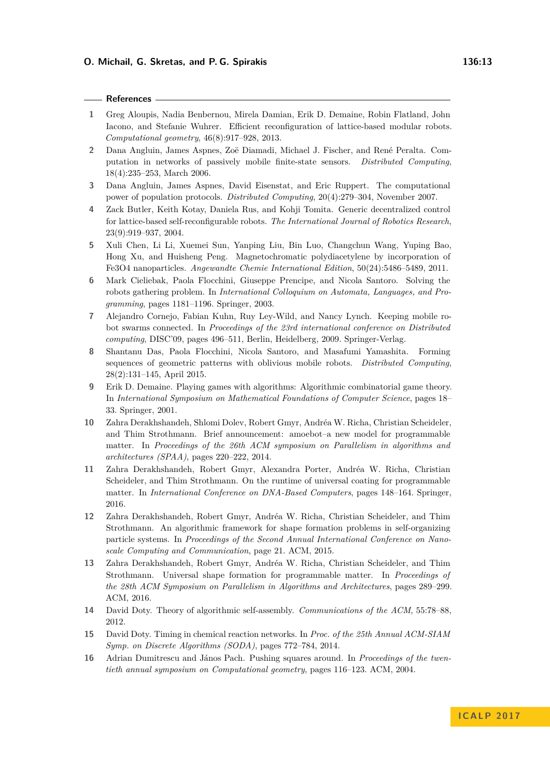## **References**

- <span id="page-12-12"></span>**1** Greg Aloupis, Nadia Benbernou, Mirela Damian, Erik D. Demaine, Robin Flatland, John Iacono, and Stefanie Wuhrer. Efficient reconfiguration of lattice-based modular robots. *Computational geometry*, 46(8):917–928, 2013.
- <span id="page-12-2"></span>**2** Dana Angluin, James Aspnes, Zoë Diamadi, Michael J. Fischer, and René Peralta. Computation in networks of passively mobile finite-state sensors. *Distributed Computing*, 18(4):235–253, March 2006.
- <span id="page-12-14"></span>**3** Dana Angluin, James Aspnes, David Eisenstat, and Eric Ruppert. The computational power of population protocols. *Distributed Computing*, 20(4):279–304, November 2007.
- <span id="page-12-11"></span>**4** Zack Butler, Keith Kotay, Daniela Rus, and Kohji Tomita. Generic decentralized control for lattice-based self-reconfigurable robots. *The International Journal of Robotics Research*, 23(9):919–937, 2004.
- <span id="page-12-0"></span>**5** Xuli Chen, Li Li, Xuemei Sun, Yanping Liu, Bin Luo, Changchun Wang, Yuping Bao, Hong Xu, and Huisheng Peng. Magnetochromatic polydiacetylene by incorporation of Fe3O4 nanoparticles. *Angewandte Chemie International Edition*, 50(24):5486–5489, 2011.
- <span id="page-12-8"></span>**6** Mark Cieliebak, Paola Flocchini, Giuseppe Prencipe, and Nicola Santoro. Solving the robots gathering problem. In *International Colloquium on Automata, Languages, and Programming*, pages 1181–1196. Springer, 2003.
- <span id="page-12-10"></span>**7** Alejandro Cornejo, Fabian Kuhn, Ruy Ley-Wild, and Nancy Lynch. Keeping mobile robot swarms connected. In *Proceedings of the 23rd international conference on Distributed computing*, DISC'09, pages 496–511, Berlin, Heidelberg, 2009. Springer-Verlag.
- <span id="page-12-9"></span>**8** Shantanu Das, Paola Flocchini, Nicola Santoro, and Masafumi Yamashita. Forming sequences of geometric patterns with oblivious mobile robots. *Distributed Computing*, 28(2):131–145, April 2015.
- <span id="page-12-13"></span>**9** Erik D. Demaine. Playing games with algorithms: Algorithmic combinatorial game theory. In *International Symposium on Mathematical Foundations of Computer Science*, pages 18– 33. Springer, 2001.
- <span id="page-12-4"></span>**10** Zahra Derakhshandeh, Shlomi Dolev, Robert Gmyr, Andréa W. Richa, Christian Scheideler, and Thim Strothmann. Brief announcement: amoebot–a new model for programmable matter. In *Proceedings of the 26th ACM symposium on Parallelism in algorithms and architectures (SPAA)*, pages 220–222, 2014.
- <span id="page-12-6"></span>**11** Zahra Derakhshandeh, Robert Gmyr, Alexandra Porter, Andréa W. Richa, Christian Scheideler, and Thim Strothmann. On the runtime of universal coating for programmable matter. In *International Conference on DNA-Based Computers*, pages 148–164. Springer, 2016.
- <span id="page-12-5"></span>**12** Zahra Derakhshandeh, Robert Gmyr, Andréa W. Richa, Christian Scheideler, and Thim Strothmann. An algorithmic framework for shape formation problems in self-organizing particle systems. In *Proceedings of the Second Annual International Conference on Nanoscale Computing and Communication*, page 21. ACM, 2015.
- <span id="page-12-7"></span>**13** Zahra Derakhshandeh, Robert Gmyr, Andréa W. Richa, Christian Scheideler, and Thim Strothmann. Universal shape formation for programmable matter. In *Proceedings of the 28th ACM Symposium on Parallelism in Algorithms and Architectures*, pages 289–299. ACM, 2016.
- <span id="page-12-1"></span>**14** David Doty. Theory of algorithmic self-assembly. *Communications of the ACM*, 55:78–88, 2012.
- <span id="page-12-3"></span>**15** David Doty. Timing in chemical reaction networks. In *Proc. of the 25th Annual ACM-SIAM Symp. on Discrete Algorithms (SODA)*, pages 772–784, 2014.
- <span id="page-12-15"></span>**16** Adrian Dumitrescu and János Pach. Pushing squares around. In *Proceedings of the twentieth annual symposium on Computational geometry*, pages 116–123. ACM, 2004.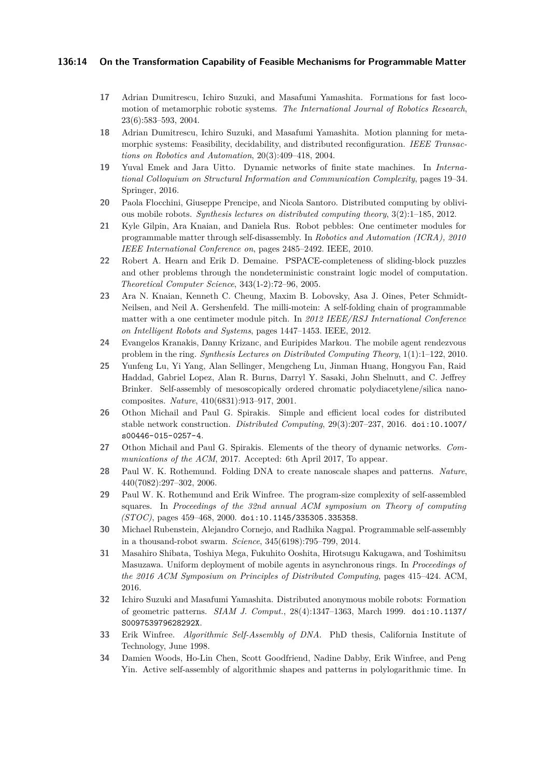## **136:14 On the Transformation Capability of Feasible Mechanisms for Programmable Matter**

- <span id="page-13-16"></span>**17** Adrian Dumitrescu, Ichiro Suzuki, and Masafumi Yamashita. Formations for fast locomotion of metamorphic robotic systems. *The International Journal of Robotics Research*, 23(6):583–593, 2004.
- <span id="page-13-17"></span>**18** Adrian Dumitrescu, Ichiro Suzuki, and Masafumi Yamashita. Motion planning for metamorphic systems: Feasibility, decidability, and distributed reconfiguration. *IEEE Transactions on Robotics and Automation*, 20(3):409–418, 2004.
- <span id="page-13-15"></span>**19** Yuval Emek and Jara Uitto. Dynamic networks of finite state machines. In *International Colloquium on Structural Information and Communication Complexity*, pages 19–34. Springer, 2016.
- <span id="page-13-12"></span>**20** Paola Flocchini, Giuseppe Prencipe, and Nicola Santoro. Distributed computing by oblivious mobile robots. *Synthesis lectures on distributed computing theory*, 3(2):1–185, 2012.
- <span id="page-13-3"></span>**21** Kyle Gilpin, Ara Knaian, and Daniela Rus. Robot pebbles: One centimeter modules for programmable matter through self-disassembly. In *Robotics and Automation (ICRA), 2010 IEEE International Conference on*, pages 2485–2492. IEEE, 2010.
- <span id="page-13-14"></span>**22** Robert A. Hearn and Erik D. Demaine. PSPACE-completeness of sliding-block puzzles and other problems through the nondeterministic constraint logic model of computation. *Theoretical Computer Science*, 343(1-2):72–96, 2005.
- <span id="page-13-4"></span>**23** Ara N. Knaian, Kenneth C. Cheung, Maxim B. Lobovsky, Asa J. Oines, Peter Schmidt-Neilsen, and Neil A. Gershenfeld. The milli-motein: A self-folding chain of programmable matter with a one centimeter module pitch. In *2012 IEEE/RSJ International Conference on Intelligent Robots and Systems*, pages 1447–1453. IEEE, 2012.
- <span id="page-13-10"></span>**24** Evangelos Kranakis, Danny Krizanc, and Euripides Markou. The mobile agent rendezvous problem in the ring. *Synthesis Lectures on Distributed Computing Theory*, 1(1):1–122, 2010.
- <span id="page-13-0"></span>**25** Yunfeng Lu, Yi Yang, Alan Sellinger, Mengcheng Lu, Jinman Huang, Hongyou Fan, Raid Haddad, Gabriel Lopez, Alan R. Burns, Darryl Y. Sasaki, John Shelnutt, and C. Jeffrey Brinker. Self-assembly of mesoscopically ordered chromatic polydiacetylene/silica nanocomposites. *Nature*, 410(6831):913–917, 2001.
- <span id="page-13-9"></span>**26** Othon Michail and Paul G. Spirakis. Simple and efficient local codes for distributed stable network construction. *Distributed Computing*, 29(3):207–237, 2016. [doi:10.1007/](http://dx.doi.org/10.1007/s00446-015-0257-4) [s00446-015-0257-4](http://dx.doi.org/10.1007/s00446-015-0257-4).
- <span id="page-13-5"></span>**27** Othon Michail and Paul G. Spirakis. Elements of the theory of dynamic networks. *Communications of the ACM*, 2017. Accepted: 6th April 2017, To appear.
- <span id="page-13-1"></span>**28** Paul W. K. Rothemund. Folding DNA to create nanoscale shapes and patterns. *Nature*, 440(7082):297–302, 2006.
- <span id="page-13-7"></span>**29** Paul W. K. Rothemund and Erik Winfree. The program-size complexity of self-assembled squares. In *Proceedings of the 32nd annual ACM symposium on Theory of computing (STOC)*, pages 459–468, 2000. [doi:10.1145/335305.335358](http://dx.doi.org/10.1145/335305.335358).
- <span id="page-13-2"></span>**30** Michael Rubenstein, Alejandro Cornejo, and Radhika Nagpal. Programmable self-assembly in a thousand-robot swarm. *Science*, 345(6198):795–799, 2014.
- <span id="page-13-11"></span>**31** Masahiro Shibata, Toshiya Mega, Fukuhito Ooshita, Hirotsugu Kakugawa, and Toshimitsu Masuzawa. Uniform deployment of mobile agents in asynchronous rings. In *Proceedings of the 2016 ACM Symposium on Principles of Distributed Computing*, pages 415–424. ACM, 2016.
- <span id="page-13-13"></span>**32** Ichiro Suzuki and Masafumi Yamashita. Distributed anonymous mobile robots: Formation of geometric patterns. *SIAM J. Comput.*, 28(4):1347–1363, March 1999. [doi:10.1137/](http://dx.doi.org/10.1137/S009753979628292X) [S009753979628292X](http://dx.doi.org/10.1137/S009753979628292X).
- <span id="page-13-6"></span>**33** Erik Winfree. *Algorithmic Self-Assembly of DNA*. PhD thesis, California Institute of Technology, June 1998.
- <span id="page-13-8"></span>**34** Damien Woods, Ho-Lin Chen, Scott Goodfriend, Nadine Dabby, Erik Winfree, and Peng Yin. Active self-assembly of algorithmic shapes and patterns in polylogarithmic time. In